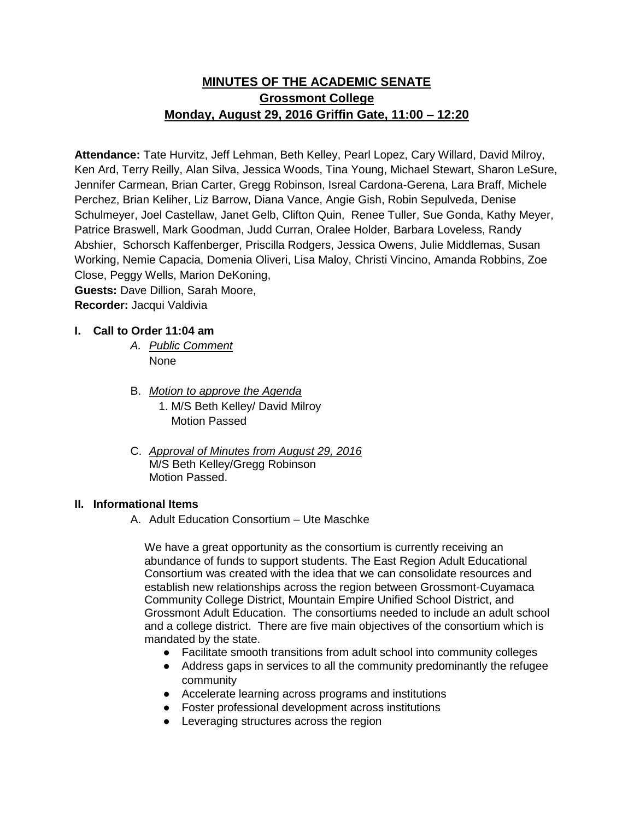# **MINUTES OF THE ACADEMIC SENATE Grossmont College Monday, August 29, 2016 Griffin Gate, 11:00 – 12:20**

**Attendance:** Tate Hurvitz, Jeff Lehman, Beth Kelley, Pearl Lopez, Cary Willard, David Milroy, Ken Ard, Terry Reilly, Alan Silva, Jessica Woods, Tina Young, Michael Stewart, Sharon LeSure, Jennifer Carmean, Brian Carter, Gregg Robinson, Isreal Cardona-Gerena, Lara Braff, Michele Perchez, Brian Keliher, Liz Barrow, Diana Vance, Angie Gish, Robin Sepulveda, Denise Schulmeyer, Joel Castellaw, Janet Gelb, Clifton Quin, Renee Tuller, Sue Gonda, Kathy Meyer, Patrice Braswell, Mark Goodman, Judd Curran, Oralee Holder, Barbara Loveless, Randy Abshier, Schorsch Kaffenberger, Priscilla Rodgers, Jessica Owens, Julie Middlemas, Susan Working, Nemie Capacia, Domenia Oliveri, Lisa Maloy, Christi Vincino, Amanda Robbins, Zoe Close, Peggy Wells, Marion DeKoning, **Guests:** Dave Dillion, Sarah Moore,

**Recorder:** Jacqui Valdivia

# **I. Call to Order 11:04 am**

- *A. Public Comment*  None
- B. *Motion to approve the Agenda* 1. M/S Beth Kelley/ David Milroy Motion Passed
- C. *Approval of Minutes from August 29, 2016* M/S Beth Kelley/Gregg Robinson Motion Passed.

## **II. Informational Items**

A. Adult Education Consortium – Ute Maschke

We have a great opportunity as the consortium is currently receiving an abundance of funds to support students. The East Region Adult Educational Consortium was created with the idea that we can consolidate resources and establish new relationships across the region between Grossmont-Cuyamaca Community College District, Mountain Empire Unified School District, and Grossmont Adult Education. The consortiums needed to include an adult school and a college district. There are five main objectives of the consortium which is mandated by the state.

- Facilitate smooth transitions from adult school into community colleges
- Address gaps in services to all the community predominantly the refugee community
- Accelerate learning across programs and institutions
- Foster professional development across institutions
- Leveraging structures across the region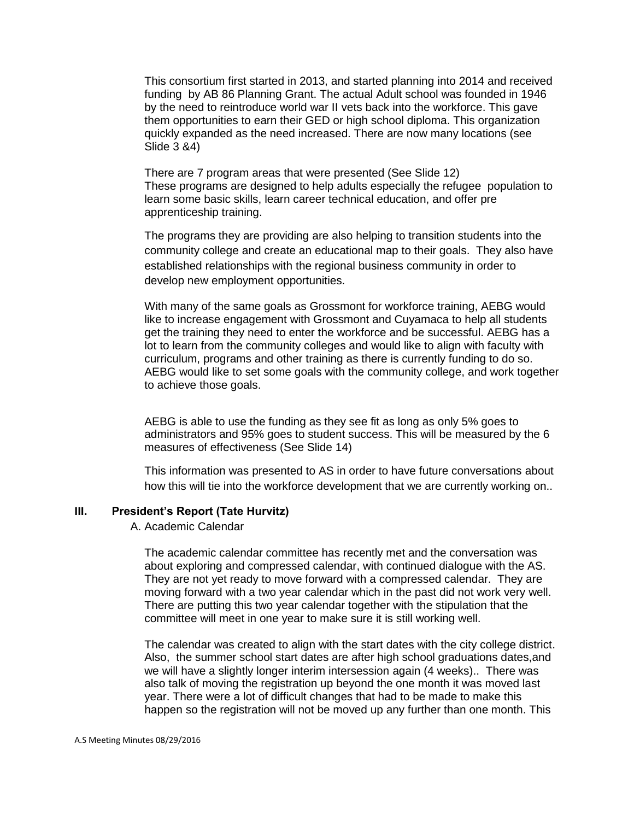This consortium first started in 2013, and started planning into 2014 and received funding by AB 86 Planning Grant. The actual Adult school was founded in 1946 by the need to reintroduce world war II vets back into the workforce. This gave them opportunities to earn their GED or high school diploma. This organization quickly expanded as the need increased. There are now many locations (see Slide 3 &4)

There are 7 program areas that were presented (See Slide 12) These programs are designed to help adults especially the refugee population to learn some basic skills, learn career technical education, and offer pre apprenticeship training.

The programs they are providing are also helping to transition students into the community college and create an educational map to their goals. They also have established relationships with the regional business community in order to develop new employment opportunities.

With many of the same goals as Grossmont for workforce training, AEBG would like to increase engagement with Grossmont and Cuyamaca to help all students get the training they need to enter the workforce and be successful. AEBG has a lot to learn from the community colleges and would like to align with faculty with curriculum, programs and other training as there is currently funding to do so. AEBG would like to set some goals with the community college, and work together to achieve those goals.

AEBG is able to use the funding as they see fit as long as only 5% goes to administrators and 95% goes to student success. This will be measured by the 6 measures of effectiveness (See Slide 14)

This information was presented to AS in order to have future conversations about how this will tie into the workforce development that we are currently working on..

#### **III. President's Report (Tate Hurvitz)**

A. Academic Calendar

The academic calendar committee has recently met and the conversation was about exploring and compressed calendar, with continued dialogue with the AS. They are not yet ready to move forward with a compressed calendar. They are moving forward with a two year calendar which in the past did not work very well. There are putting this two year calendar together with the stipulation that the committee will meet in one year to make sure it is still working well.

The calendar was created to align with the start dates with the city college district. Also, the summer school start dates are after high school graduations dates,and we will have a slightly longer interim intersession again (4 weeks).. There was also talk of moving the registration up beyond the one month it was moved last year. There were a lot of difficult changes that had to be made to make this happen so the registration will not be moved up any further than one month. This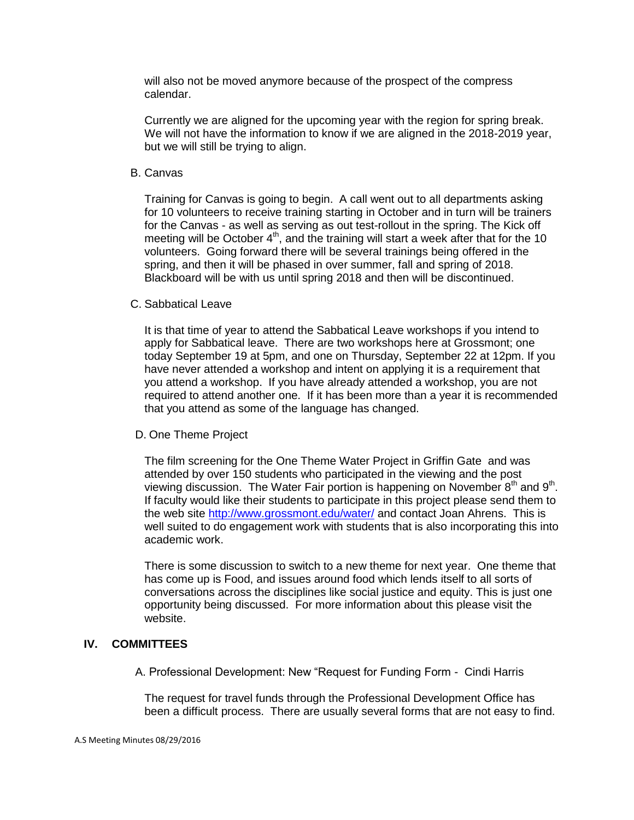will also not be moved anymore because of the prospect of the compress calendar.

Currently we are aligned for the upcoming year with the region for spring break. We will not have the information to know if we are aligned in the 2018-2019 year, but we will still be trying to align.

#### B. Canvas

Training for Canvas is going to begin. A call went out to all departments asking for 10 volunteers to receive training starting in October and in turn will be trainers for the Canvas - as well as serving as out test-rollout in the spring. The Kick off meeting will be October  $4<sup>th</sup>$ , and the training will start a week after that for the 10 volunteers. Going forward there will be several trainings being offered in the spring, and then it will be phased in over summer, fall and spring of 2018. Blackboard will be with us until spring 2018 and then will be discontinued.

#### C. Sabbatical Leave

It is that time of year to attend the Sabbatical Leave workshops if you intend to apply for Sabbatical leave. There are two workshops here at Grossmont; one today September 19 at 5pm, and one on Thursday, September 22 at 12pm. If you have never attended a workshop and intent on applying it is a requirement that you attend a workshop. If you have already attended a workshop, you are not required to attend another one. If it has been more than a year it is recommended that you attend as some of the language has changed.

## D. One Theme Project

The film screening for the One Theme Water Project in Griffin Gate and was attended by over 150 students who participated in the viewing and the post viewing discussion. The Water Fair portion is happening on November  $8<sup>th</sup>$  and  $9<sup>th</sup>$ . If faculty would like their students to participate in this project please send them to the web site<http://www.grossmont.edu/water/> and contact Joan Ahrens. This is well suited to do engagement work with students that is also incorporating this into academic work.

There is some discussion to switch to a new theme for next year. One theme that has come up is Food, and issues around food which lends itself to all sorts of conversations across the disciplines like social justice and equity. This is just one opportunity being discussed. For more information about this please visit the website.

# **IV. COMMITTEES**

A. Professional Development: New "Request for Funding Form - Cindi Harris

The request for travel funds through the Professional Development Office has been a difficult process. There are usually several forms that are not easy to find.